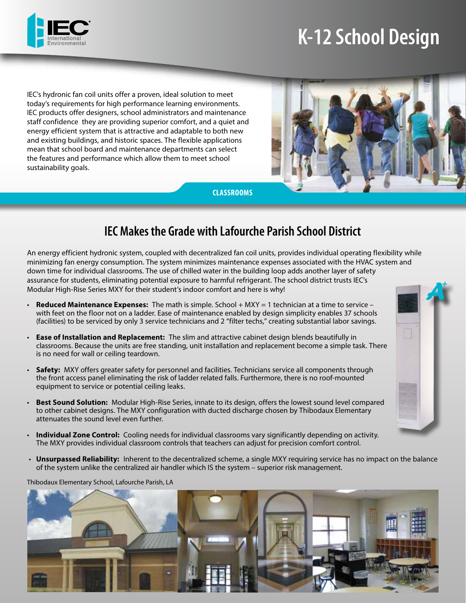

# **K-12 School Design**

IEC's hydronic fan coil units offer a proven, ideal solution to meet today's requirements for high performance learning environments. IEC products offer designers, school administrators and maintenance staff confidence they are providing superior comfort, and a quiet and energy efficient system that is attractive and adaptable to both new and existing buildings, and historic spaces. The flexible applications mean that school board and maintenance departments can select the features and performance which allow them to meet school sustainability goals.



**CLASSROOMS**

# **IEC Makes the Grade with Lafourche Parish School District**

An energy efficient hydronic system, coupled with decentralized fan coil units, provides individual operating flexibility while minimizing fan energy consumption. The system minimizes maintenance expenses associated with the HVAC system and down time for individual classrooms. The use of chilled water in the building loop adds another layer of safety assurance for students, eliminating potential exposure to harmful refrigerant. The school district trusts IEC's Modular High-Rise Series MXY for their student's indoor comfort and here is why!

- **Reduced Maintenance Expenses:** The math is simple. School + MXY = 1 technician at a time to service with feet on the floor not on a ladder. Ease of maintenance enabled by design simplicity enables 37 schools (facilities) to be serviced by only 3 service technicians and 2 "filter techs," creating substantial labor savings.
- **Ease of Installation and Replacement:** The slim and attractive cabinet design blends beautifully in classrooms. Because the units are free standing, unit installation and replacement become a simple task. There is no need for wall or ceiling teardown.
- **Safety:** MXY offers greater safety for personnel and facilities. Technicians service all components through the front access panel eliminating the risk of ladder related falls. Furthermore, there is no roof-mounted equipment to service or potential ceiling leaks.
- **Best Sound Solution:** Modular High-Rise Series, innate to its design, offers the lowest sound level compared to other cabinet designs. The MXY configuration with ducted discharge chosen by Thibodaux Elementary attenuates the sound level even further.
- **Individual Zone Control:** Cooling needs for individual classrooms vary significantly depending on activity. The MXY provides individual classroom controls that teachers can adjust for precision comfort control.
- **Unsurpassed Reliability:** Inherent to the decentralized scheme, a single MXY requiring service has no impact on the balance of the system unlike the centralized air handler which IS the system – superior risk management.

Thibodaux Elementary School, Lafourche Parish, LA